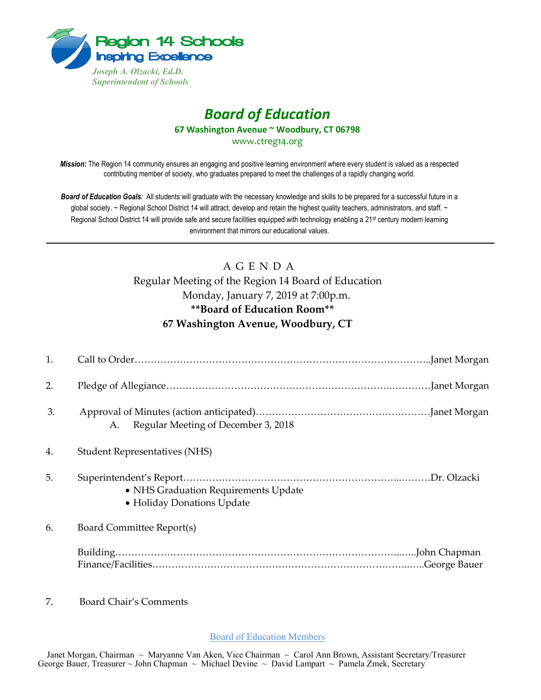

# *Board of Education* **67 Washington Avenue ~ Woodbury, CT 06798**

www.ctreg14.org

*Mission:* The Region 14 community ensures an engaging and positive learning environment where every student is valued as a respected contributing member of society, who graduates prepared to meet the challenges of a rapidly changing world.

*Board of Education Goals:* All students will graduate with the necessary knowledge and skills to be prepared for a successful future in a global society. ~ Regional School District 14 will attract, develop and retain the highest quality teachers, administrators, and staff. ~ Regional School District 14 will provide safe and secure facilities equipped with technology enabling a 21<sup>st</sup> century modern learning environment that mirrors our educational values.

## A G E N D A Regular Meeting of the Region 14 Board of Education Monday, January 7, 2019 at 7:00p.m. **\*\*Board of Education Room\*\* 67 Washington Avenue, Woodbury, CT**

| 1. |                                                                    |
|----|--------------------------------------------------------------------|
| 2. |                                                                    |
| 3. | Regular Meeting of December 3, 2018<br>A.                          |
| 4. | Student Representatives (NHS)                                      |
| 5. | • NHS Graduation Requirements Update<br>• Holiday Donations Update |
| 6. | Board Committee Report(s)                                          |
|    |                                                                    |

7. Board Chair's Comments

Board of Education Members